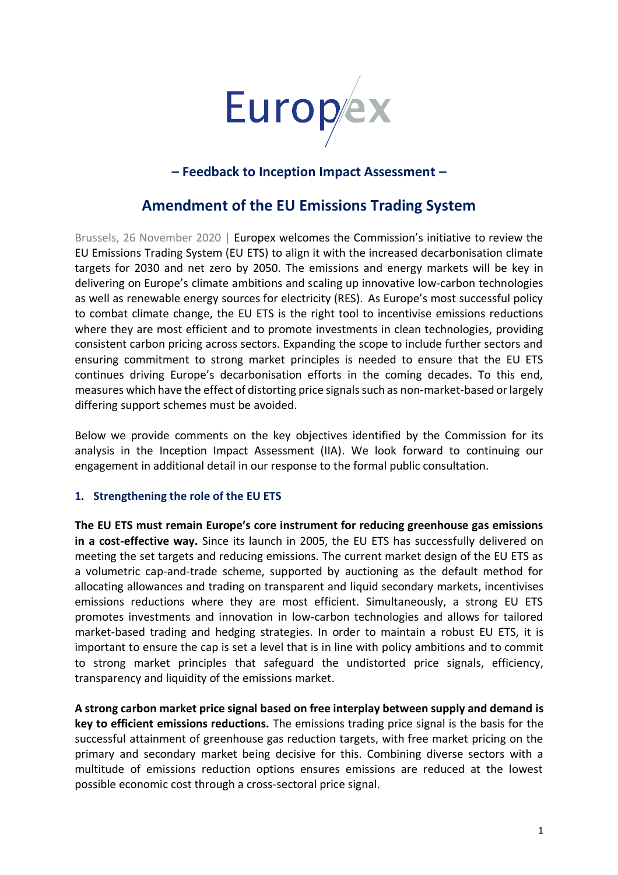

# **– Feedback to Inception Impact Assessment –**

# **Amendment of the EU Emissions Trading System**

Brussels, 26 November 2020 | Europex welcomes the Commission's initiative to review the EU Emissions Trading System (EU ETS) to align it with the increased decarbonisation climate targets for 2030 and net zero by 2050. The emissions and energy markets will be key in delivering on Europe's climate ambitions and scaling up innovative low-carbon technologies as well as renewable energy sources for electricity (RES). As Europe's most successful policy to combat climate change, the EU ETS is the right tool to incentivise emissions reductions where they are most efficient and to promote investments in clean technologies, providing consistent carbon pricing across sectors. Expanding the scope to include further sectors and ensuring commitment to strong market principles is needed to ensure that the EU ETS continues driving Europe's decarbonisation efforts in the coming decades. To this end, measures which have the effect of distorting price signals such as non-market-based or largely differing support schemes must be avoided.

Below we provide comments on the key objectives identified by the Commission for its analysis in the Inception Impact Assessment (IIA). We look forward to continuing our engagement in additional detail in our response to the formal public consultation.

### **1. Strengthening the role of the EU ETS**

**The EU ETS must remain Europe's core instrument for reducing greenhouse gas emissions in a cost-effective way.** Since its launch in 2005, the EU ETS has successfully delivered on meeting the set targets and reducing emissions. The current market design of the EU ETS as a volumetric cap-and-trade scheme, supported by auctioning as the default method for allocating allowances and trading on transparent and liquid secondary markets, incentivises emissions reductions where they are most efficient. Simultaneously, a strong EU ETS promotes investments and innovation in low-carbon technologies and allows for tailored market-based trading and hedging strategies. In order to maintain a robust EU ETS, it is important to ensure the cap is set a level that is in line with policy ambitions and to commit to strong market principles that safeguard the undistorted price signals, efficiency, transparency and liquidity of the emissions market.

**A strong carbon market price signal based on free interplay between supply and demand is key to efficient emissions reductions.** The emissions trading price signal is the basis for the successful attainment of greenhouse gas reduction targets, with free market pricing on the primary and secondary market being decisive for this. Combining diverse sectors with a multitude of emissions reduction options ensures emissions are reduced at the lowest possible economic cost through a cross-sectoral price signal.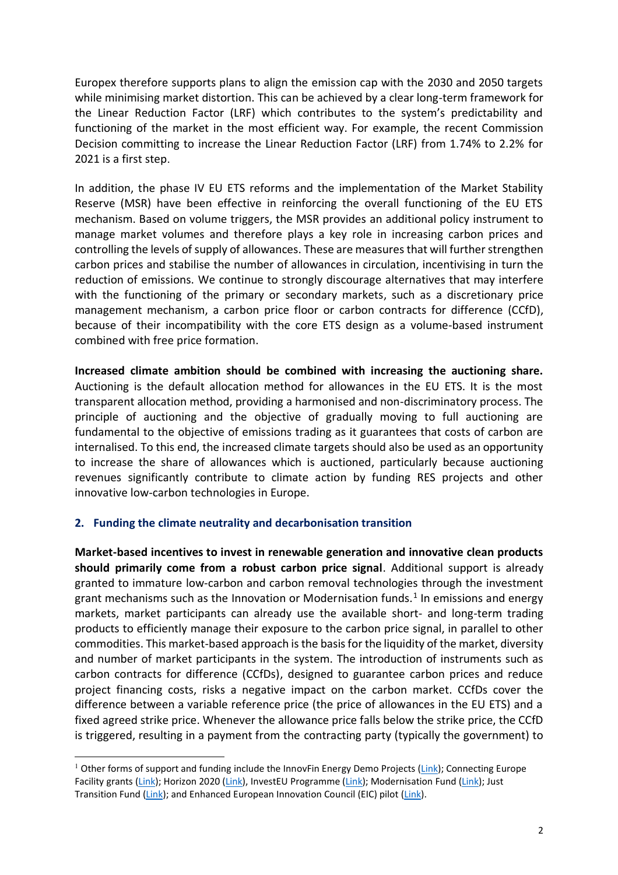Europex therefore supports plans to align the emission cap with the 2030 and 2050 targets while minimising market distortion. This can be achieved by a clear long-term framework for the Linear Reduction Factor (LRF) which contributes to the system's predictability and functioning of the market in the most efficient way. For example, the recent Commission Decision committing to increase the Linear Reduction Factor (LRF) from 1.74% to 2.2% for 2021 is a first step.

In addition, the phase IV EU ETS reforms and the implementation of the Market Stability Reserve (MSR) have been effective in reinforcing the overall functioning of the EU ETS mechanism. Based on volume triggers, the MSR provides an additional policy instrument to manage market volumes and therefore plays a key role in increasing carbon prices and controlling the levels of supply of allowances. These are measures that will further strengthen carbon prices and stabilise the number of allowances in circulation, incentivising in turn the reduction of emissions. We continue to strongly discourage alternatives that may interfere with the functioning of the primary or secondary markets, such as a discretionary price management mechanism, a carbon price floor or carbon contracts for difference (CCfD), because of their incompatibility with the core ETS design as a volume-based instrument combined with free price formation.

**Increased climate ambition should be combined with increasing the auctioning share.**  Auctioning is the default allocation method for allowances in the EU ETS. It is the most transparent allocation method, providing a harmonised and non-discriminatory process. The principle of auctioning and the objective of gradually moving to full auctioning are fundamental to the objective of emissions trading as it guarantees that costs of carbon are internalised. To this end, the increased climate targets should also be used as an opportunity to increase the share of allowances which is auctioned, particularly because auctioning revenues significantly contribute to climate action by funding RES projects and other innovative low-carbon technologies in Europe.

### **2. Funding the climate neutrality and decarbonisation transition**

**Market-based incentives to invest in renewable generation and innovative clean products should primarily come from a robust carbon price signal**. Additional support is already granted to immature low-carbon and carbon removal technologies through the investment grant mechanisms such as the Innovation or Modernisation funds.<sup>1</sup> In emissions and energy markets, market participants can already use the available short- and long-term trading products to efficiently manage their exposure to the carbon price signal, in parallel to other commodities. This market-based approach is the basis for the liquidity of the market, diversity and number of market participants in the system. The introduction of instruments such as carbon contracts for difference (CCfDs), designed to guarantee carbon prices and reduce project financing costs, risks a negative impact on the carbon market. CCfDs cover the difference between a variable reference price (the price of allowances in the EU ETS) and a fixed agreed strike price. Whenever the allowance price falls below the strike price, the CCfD is triggered, resulting in a payment from the contracting party (typically the government) to

<sup>&</sup>lt;sup>1</sup> Other forms of support and funding include the InnovFin Energy Demo Projects [\(Link\)](https://www.eib.org/en/products/blending/innovfin/products/energy-demo-projects.htm); Connecting Europe Facility grants [\(Link\)](https://ec.europa.eu/inea/en/connecting-europe-facility); Horizon 2020 [\(Link\)](https://ec.europa.eu/inea/en/connecting-europe-facility), InvestEU Programme [\(Link\)](https://europa.eu/investeu/home_en); Modernisation Fund [\(Link\)](https://ec.europa.eu/clima/policies/budget/modernisation-fund_en); Just Transition Fund [\(Link\)](https://ec.europa.eu/commission/presscorner/detail/en/fs_20_50); and Enhanced European Innovation Council (EIC) pilot [\(Link\)](https://ec.europa.eu/research/eic/index.cfm).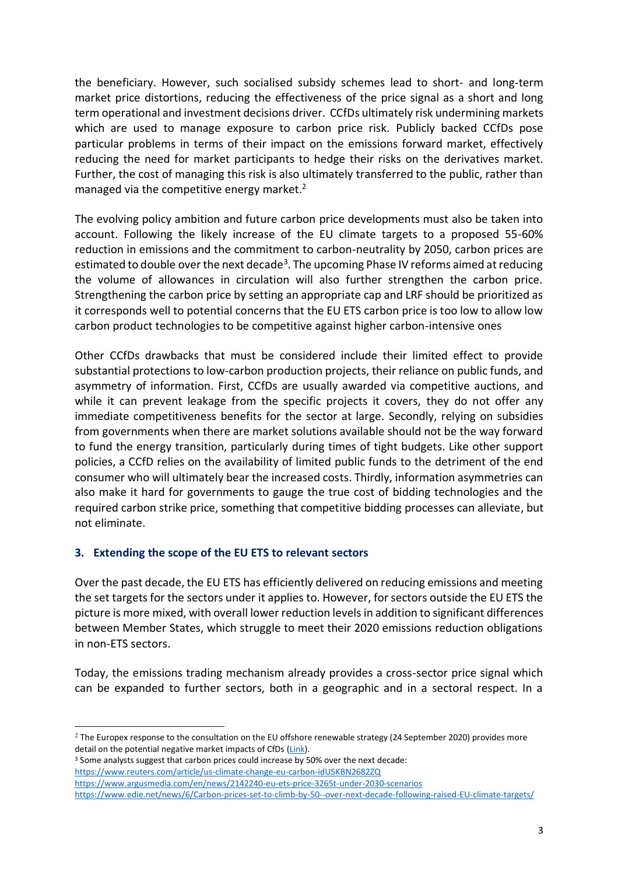the beneficiary. However, such socialised subsidy schemes lead to short- and long-term market price distortions, reducing the effectiveness of the price signal as a short and long term operational and investment decisions driver. CCfDs ultimately risk undermining markets which are used to manage exposure to carbon price risk. Publicly backed CCfDs pose particular problems in terms of their impact on the emissions forward market, effectively reducing the need for market participants to hedge their risks on the derivatives market. Further, the cost of managing this risk is also ultimately transferred to the public, rather than managed via the competitive energy market.<sup>2</sup>

The evolving policy ambition and future carbon price developments must also be taken into account. Following the likely increase of the EU climate targets to a proposed 55-60% reduction in emissions and the commitment to carbon-neutrality by 2050, carbon prices are estimated to double over the next decade<sup>3</sup>. The upcoming Phase IV reforms aimed at reducing the volume of allowances in circulation will also further strengthen the carbon price. Strengthening the carbon price by setting an appropriate cap and LRF should be prioritized as it corresponds well to potential concerns that the EU ETS carbon price is too low to allow low carbon product technologies to be competitive against higher carbon-intensive ones

Other CCfDs drawbacks that must be considered include their limited effect to provide substantial protections to low-carbon production projects, their reliance on public funds, and asymmetry of information. First, CCfDs are usually awarded via competitive auctions, and while it can prevent leakage from the specific projects it covers, they do not offer any immediate competitiveness benefits for the sector at large. Secondly, relying on subsidies from governments when there are market solutions available should not be the way forward to fund the energy transition, particularly during times of tight budgets. Like other support policies, a CCfD relies on the availability of limited public funds to the detriment of the end consumer who will ultimately bear the increased costs. Thirdly, information asymmetries can also make it hard for governments to gauge the true cost of bidding technologies and the required carbon strike price, something that competitive bidding processes can alleviate, but not eliminate.

## **3. Extending the scope of the EU ETS to relevant sectors**

Over the past decade, the EU ETS has efficiently delivered on reducing emissions and meeting the set targets for the sectors under it applies to. However, for sectors outside the EU ETS the picture is more mixed, with overall lower reduction levels in addition to significant differences between Member States, which struggle to meet their 2020 emissions reduction obligations in non-ETS sectors.

Today, the emissions trading mechanism already provides a cross-sector price signal which can be expanded to further sectors, both in a geographic and in a sectoral respect. In a

<sup>3</sup> Some analysts suggest that carbon prices could increase by 50% over the next decade: <https://www.reuters.com/article/us-climate-change-eu-carbon-idUSKBN2682ZQ>

 $2$  The Europex response to the consultation on the EU offshore renewable strategy (24 September 2020) provides more detail on the potential negative market impacts of CfDs [\(Link\)](https://www.europex.org/wp-content/uploads/2020/09/20200924_EU-offshore-renewable-energy-strategy_Europex-response.pdf).

<https://www.argusmedia.com/en/news/2142240-eu-ets-price-3265t-under-2030-scenarios> [https://www.edie.net/news/6/Carbon-prices-set-to-climb-by-50--over-next-decade-following-raised-EU-climate-targets/](https://www.edie.net/news/6/Carbon-prices-set-to-climb-by-50--over-next-decade-following-raised-EU-climate-targets/?utm_source=dailynewsletter,%20edie%20daily%20newsletter&utm_medium=email,%20email&utm_content=news&utm_campaign=dailynewsletter,%20e63c33c411-dailynewsletter_COPY_887)